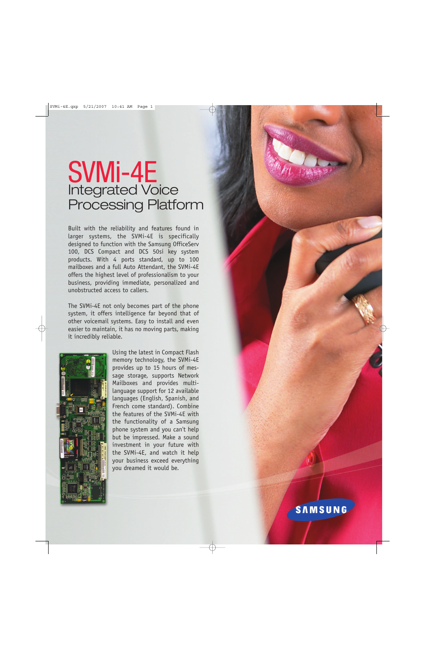# SVMi-4E Integrated Voice Processing Platform

Built with the reliability and features found in larger systems, the SVMi-4E is specifically designed to function with the Samsung OfficeServ 100, DCS Compact and DCS 50si key system products. With 4 ports standard, up to 100 mailboxes and a full Auto Attendant, the SVMi-4E offers the highest level of professionalism to your business, providing immediate, personalized and unobstructed access to callers.

The SVMi-4E not only becomes part of the phone system, it offers intelligence far beyond that of other voicemail systems. Easy to install and even easier to maintain, it has no moving parts, making it incredibly reliable.



Using the latest in Compact Flash memory technology, the SVMi-4E provides up to 15 hours of message storage, supports Network Mailboxes and provides multilanguage support for 12 available languages (English, Spanish, and French come standard). Combine the features of the SVMi-4E with the functionality of a Samsung phone system and you can't help but be impressed. Make a sound investment in your future with the SVMi-4E, and watch it help your business exceed everything you dreamed it would be.

### **SAMSUNG**